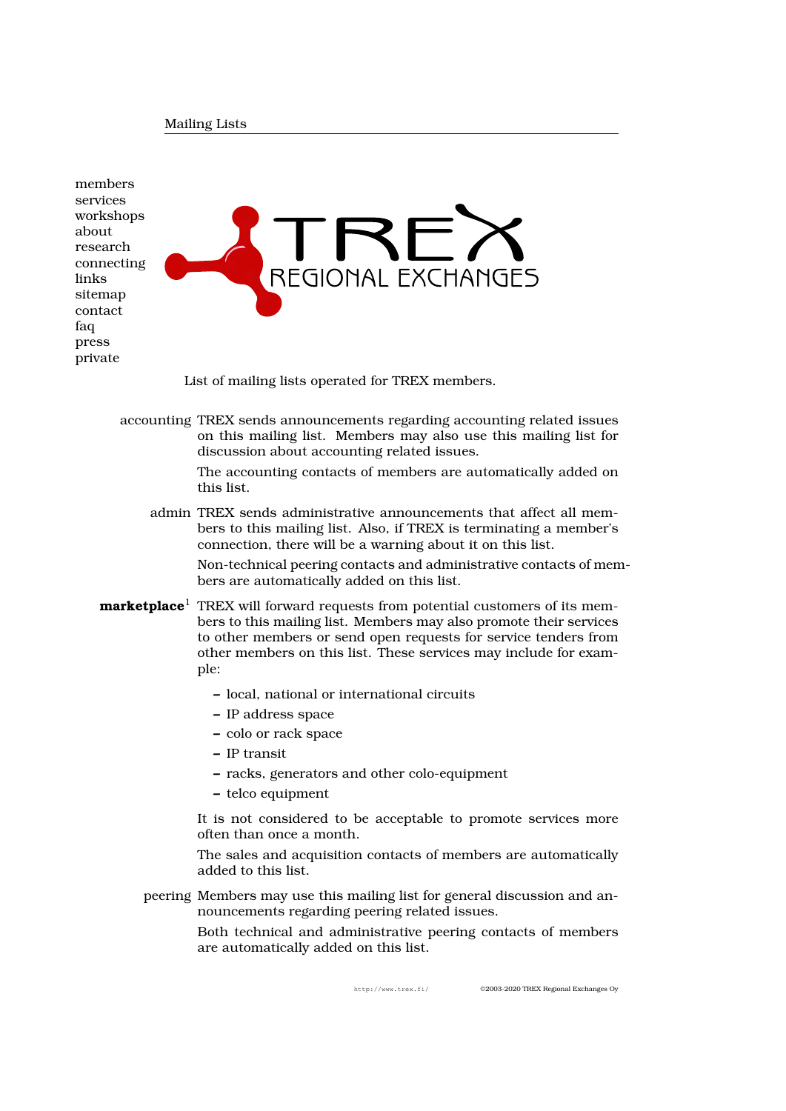members services workshops about [research](http://www.trex.fi/members.pdf) [connecti](http://www.trex.fi/services.pdf)ng [links](http://www.trex.fi/workshops.pdf) [sitema](http://www.trex.fi/about.pdf)p [contact](http://www.trex.fi/research.pdf) [faq](http://www.trex.fi/connecting.pdf) [press](http://www.trex.fi/links.pdf) [private](http://www.trex.fi/sitemap.pdf)



List of mailing lists operated for TREX members.

[a](http://www.trex.fi/private.pdf)ccounting TREX sends announcements regarding accounting related issues on this mailing list. Members may also use this mailing list for discussion about accounting related issues.

> The accounting contacts of members are automatically added on this list.

admin TREX sends administrative announcements that affect all members to this mailing list. Also, if TREX is terminating a member's connection, there will be a warning about it on this list.

Non-technical peering contacts and administrative contacts of members are automatically added on this list.

- **marketplace**<sup>1</sup> TREX will forward requests from potential customers of its members to this mailing list. Members may also promote their services to other members or send open requests for service tenders from other members on this list. These services may include for example:
	- **–** local, national or international circuits
	- **–** IP address space
	- **–** colo or rack space
	- **–** IP transit
	- **–** racks, generators and other colo-equipment
	- **–** telco equipment

It is not considered to be acceptable to promote services more often than once a month.

The sales and acquisition contacts of members are automatically added to this list.

peering Members may use this mailing list for general discussion and announcements regarding peering related issues.

> Both technical and administrative peering contacts of members are automatically added on this list.